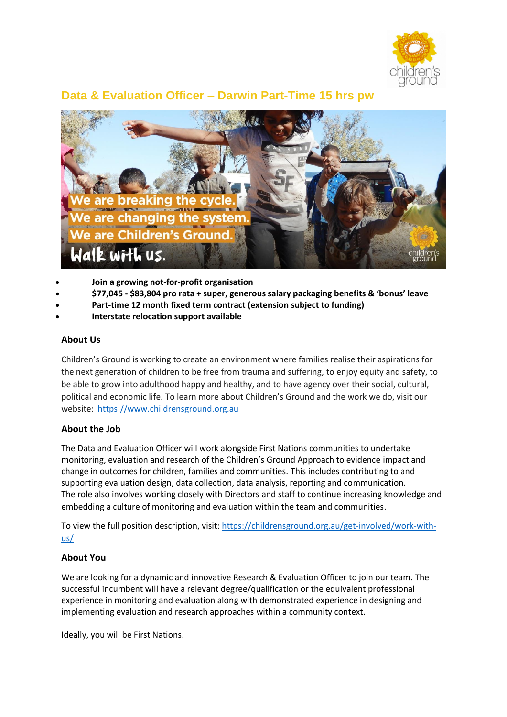

# **Data & Evaluation Officer – Darwin Part-Time 15 hrs pw**



- **Join a growing not-for-profit organisation**
- **\$77,045 - \$83,804 pro rata + super, generous salary packaging benefits & 'bonus' leave**
- **Part-time 12 month fixed term contract (extension subject to funding)**
- **Interstate relocation support available**

#### **About Us**

Children's Ground is working to create an environment where families realise their aspirations for the next generation of children to be free from trauma and suffering, to enjoy equity and safety, to be able to grow into adulthood happy and healthy, and to have agency over their social, cultural, political and economic life. To learn more about Children's Ground and the work we do, visit our website: [https://www.childrensground.org.au](https://www.childrensground.org.au/)

### **About the Job**

The Data and Evaluation Officer will work alongside First Nations communities to undertake monitoring, evaluation and research of the Children's Ground Approach to evidence impact and change in outcomes for children, families and communities. This includes contributing to and supporting evaluation design, data collection, data analysis, reporting and communication. The role also involves working closely with Directors and staff to continue increasing knowledge and embedding a culture of monitoring and evaluation within the team and communities.

To view the full position description, visit: [https://childrensground.org.au/get-involved/work-with](https://childrensground.org.au/get-involved/work-with-us/)[us/](https://childrensground.org.au/get-involved/work-with-us/)

### **About You**

We are looking for a dynamic and innovative Research & Evaluation Officer to join our team. The successful incumbent will have a relevant degree/qualification or the equivalent professional experience in monitoring and evaluation along with demonstrated experience in designing and implementing evaluation and research approaches within a community context.

Ideally, you will be First Nations.